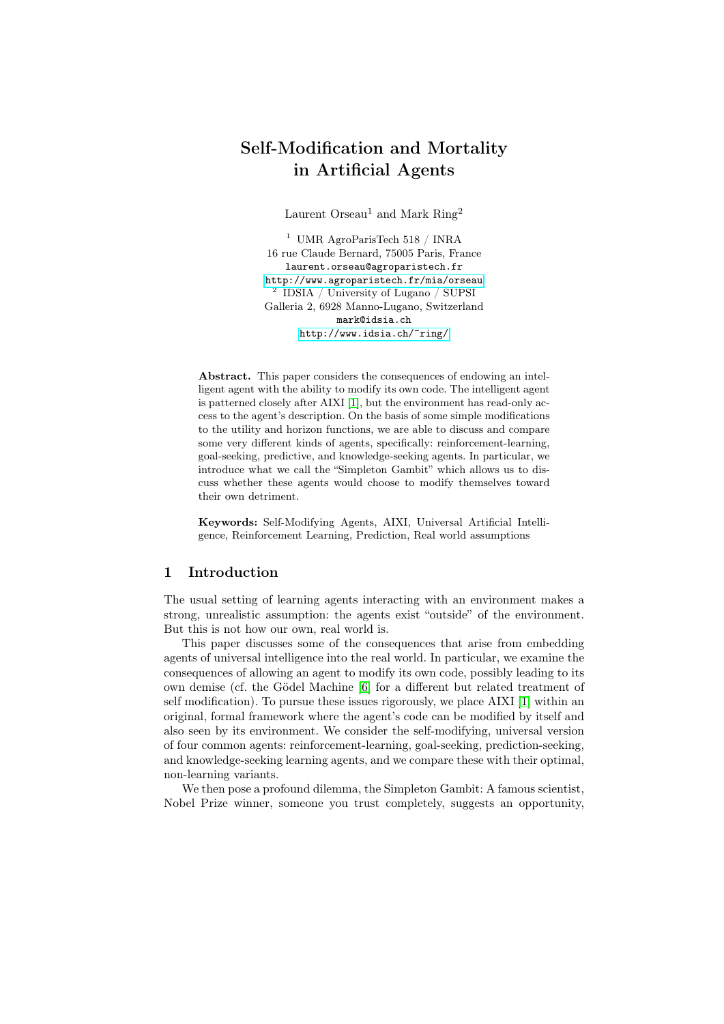# Self-Modification and Mortality in Artificial Agents

Laurent Orseau<sup>1</sup> and Mark  $Ring<sup>2</sup>$ 

<sup>1</sup> UMR AgroParisTech 518 / INRA 16 rue Claude Bernard, 75005 Paris, France laurent.orseau@agroparistech.fr <http://www.agroparistech.fr/mia/orseau> 2 IDSIA / University of Lugano / SUPSI Galleria 2, 6928 Manno-Lugano, Switzerland mark@idsia.ch <http://www.idsia.ch/~ring/>

Abstract. This paper considers the consequences of endowing an intelligent agent with the ability to modify its own code. The intelligent agent is patterned closely after AIXI [\[1\]](#page-9-0), but the environment has read-only access to the agent's description. On the basis of some simple modifications to the utility and horizon functions, we are able to discuss and compare some very different kinds of agents, specifically: reinforcement-learning, goal-seeking, predictive, and knowledge-seeking agents. In particular, we introduce what we call the "Simpleton Gambit" which allows us to discuss whether these agents would choose to modify themselves toward their own detriment.

Keywords: Self-Modifying Agents, AIXI, Universal Artificial Intelligence, Reinforcement Learning, Prediction, Real world assumptions

## 1 Introduction

The usual setting of learning agents interacting with an environment makes a strong, unrealistic assumption: the agents exist "outside" of the environment. But this is not how our own, real world is.

This paper discusses some of the consequences that arise from embedding agents of universal intelligence into the real world. In particular, we examine the consequences of allowing an agent to modify its own code, possibly leading to its own demise (cf. the Gödel Machine [\[6\]](#page-9-1) for a different but related treatment of self modification). To pursue these issues rigorously, we place AIXI [\[1\]](#page-9-0) within an original, formal framework where the agent's code can be modified by itself and also seen by its environment. We consider the self-modifying, universal version of four common agents: reinforcement-learning, goal-seeking, prediction-seeking, and knowledge-seeking learning agents, and we compare these with their optimal, non-learning variants.

We then pose a profound dilemma, the Simpleton Gambit: A famous scientist, Nobel Prize winner, someone you trust completely, suggests an opportunity,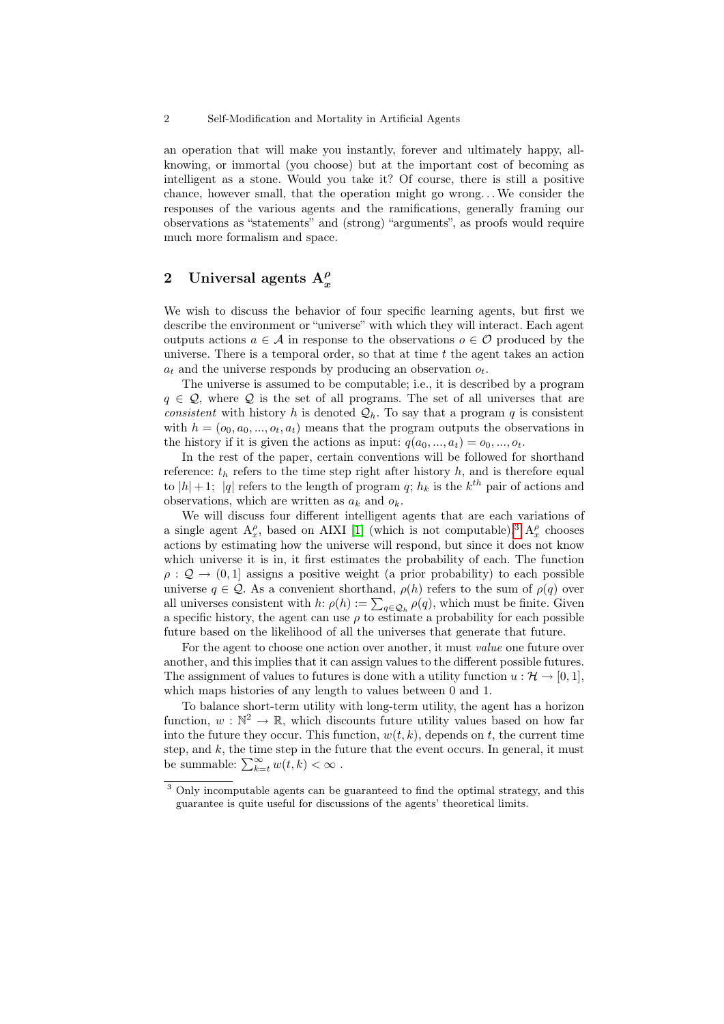#### 2 Self-Modification and Mortality in Artificial Agents

an operation that will make you instantly, forever and ultimately happy, allknowing, or immortal (you choose) but at the important cost of becoming as intelligent as a stone. Would you take it? Of course, there is still a positive chance, however small, that the operation might go wrong. . .We consider the responses of the various agents and the ramifications, generally framing our observations as "statements" and (strong) "arguments", as proofs would require much more formalism and space.

# 2 Universal agents  $A_x^{\rho}$

We wish to discuss the behavior of four specific learning agents, but first we describe the environment or "universe" with which they will interact. Each agent outputs actions  $a \in \mathcal{A}$  in response to the observations  $o \in \mathcal{O}$  produced by the universe. There is a temporal order, so that at time  $t$  the agent takes an action  $a_t$  and the universe responds by producing an observation  $o_t$ .

The universe is assumed to be computable; i.e., it is described by a program  $q \in \mathcal{Q}$ , where  $\mathcal{Q}$  is the set of all programs. The set of all universes that are consistent with history h is denoted  $\mathcal{Q}_h$ . To say that a program q is consistent with  $h = (o_0, a_0, ..., o_t, a_t)$  means that the program outputs the observations in the history if it is given the actions as input:  $q(a_0, ..., a_t) = o_0, ..., o_t$ .

In the rest of the paper, certain conventions will be followed for shorthand reference:  $t<sub>h</sub>$  refers to the time step right after history  $h$ , and is therefore equal to  $|h|+1$ ; |q| refers to the length of program q;  $h_k$  is the  $k^{th}$  pair of actions and observations, which are written as  $a_k$  and  $o_k$ .

We will discuss four different intelligent agents that are each variations of a single agent  $A_x^{\rho}$ , based on AIXI [\[1\]](#page-9-0) (which is not computable).<sup>[3](#page-1-0)</sup>  $A_x^{\rho}$  chooses actions by estimating how the universe will respond, but since it does not know which universe it is in, it first estimates the probability of each. The function  $\rho: \mathcal{Q} \to (0, 1]$  assigns a positive weight (a prior probability) to each possible universe  $q \in \mathcal{Q}$ . As a convenient shorthand,  $\rho(h)$  refers to the sum of  $\rho(q)$  over all universes consistent with  $h: \rho(h) := \sum_{q \in \mathcal{Q}_h} \rho(q)$ , which must be finite. Given a specific history, the agent can use  $\rho$  to estimate a probability for each possible future based on the likelihood of all the universes that generate that future.

For the agent to choose one action over another, it must value one future over another, and this implies that it can assign values to the different possible futures. The assignment of values to futures is done with a utility function  $u : \mathcal{H} \to [0, 1],$ which maps histories of any length to values between 0 and 1.

To balance short-term utility with long-term utility, the agent has a horizon function,  $w : \mathbb{N}^2 \to \mathbb{R}$ , which discounts future utility values based on how far into the future they occur. This function,  $w(t, k)$ , depends on t, the current time step, and  $k$ , the time step in the future that the event occurs. In general, it must be summable:  $\sum_{k=t}^{\infty} w(t, k) < \infty$ .

<span id="page-1-0"></span><sup>&</sup>lt;sup>3</sup> Only incomputable agents can be guaranteed to find the optimal strategy, and this guarantee is quite useful for discussions of the agents' theoretical limits.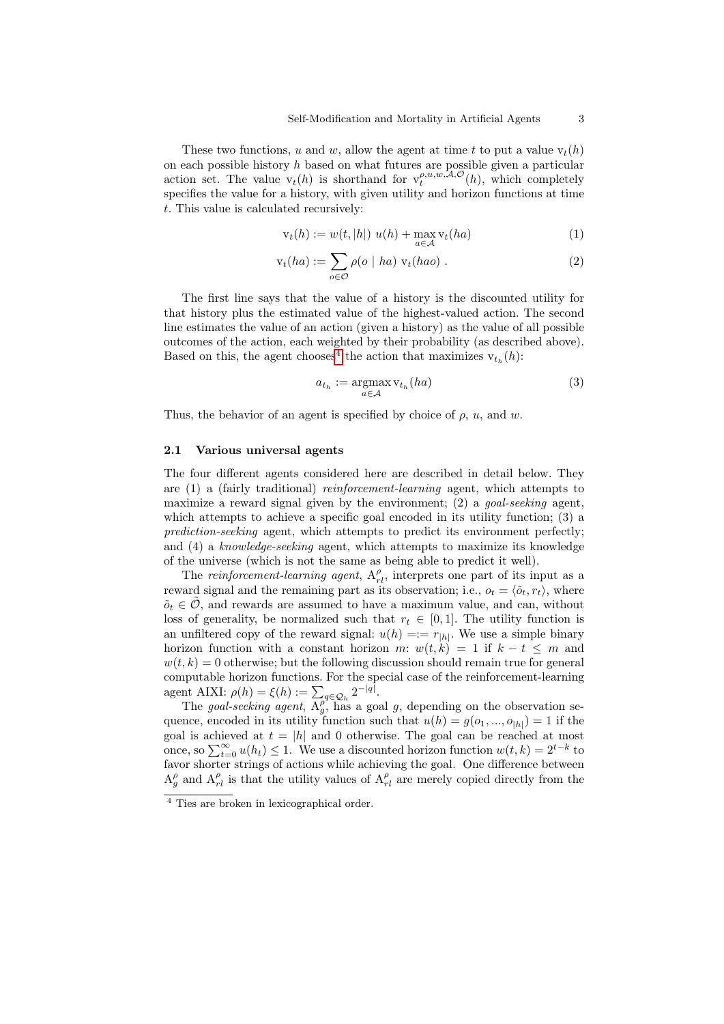These two functions, u and w, allow the agent at time t to put a value  $v_t(h)$ on each possible history  $h$  based on what futures are possible given a particular action set. The value  $v_t(h)$  is shorthand for  $v_t^{\rho,u,w,\mathcal{A},\mathcal{O}}(h)$ , which completely specifies the value for a history, with given utility and horizon functions at time t. This value is calculated recursively:

<span id="page-2-3"></span><span id="page-2-1"></span>
$$
\mathbf{v}_t(h) := w(t, |h|) \ u(h) + \max_{a \in \mathcal{A}} \mathbf{v}_t(ha) \tag{1}
$$

$$
v_t(ha) := \sum_{o \in \mathcal{O}} \rho(o \mid ha) \ v_t(hao) \ . \tag{2}
$$

The first line says that the value of a history is the discounted utility for that history plus the estimated value of the highest-valued action. The second line estimates the value of an action (given a history) as the value of all possible outcomes of the action, each weighted by their probability (as described above). Based on this, the agent chooses<sup>[4](#page-2-0)</sup> the action that maximizes  $v_{t_h}(h)$ :

<span id="page-2-2"></span>
$$
a_{t_h} := \operatorname*{argmax}_{a \in \mathcal{A}} \mathbf{v}_{t_h}(ha)
$$
\n<sup>(3)</sup>

Thus, the behavior of an agent is specified by choice of  $\rho$ ,  $u$ , and  $w$ .

### <span id="page-2-4"></span>2.1 Various universal agents

The four different agents considered here are described in detail below. They are (1) a (fairly traditional) reinforcement-learning agent, which attempts to maximize a reward signal given by the environment;  $(2)$  a goal-seeking agent, which attempts to achieve a specific goal encoded in its utility function; (3) a prediction-seeking agent, which attempts to predict its environment perfectly; and (4) a knowledge-seeking agent, which attempts to maximize its knowledge of the universe (which is not the same as being able to predict it well).

The reinforcement-learning agent,  $A_{rl}^{\rho}$ , interprets one part of its input as a reward signal and the remaining part as its observation; i.e.,  $o_t = \langle \tilde{o}_t, r_t \rangle$ , where  $\tilde{o}_t \in \tilde{\mathcal{O}}$ , and rewards are assumed to have a maximum value, and can, without loss of generality, be normalized such that  $r_t \in [0,1]$ . The utility function is an unfiltered copy of the reward signal:  $u(h) == r_{|h|}$ . We use a simple binary horizon function with a constant horizon m:  $w(t, k) = 1$  if  $k - t \leq m$  and  $w(t, k) = 0$  otherwise; but the following discussion should remain true for general computable horizon functions. For the special case of the reinforcement-learning agent AIXI:  $\rho(h) = \xi(h) := \sum_{q \in \mathcal{Q}_h} 2^{-|q|}$ .

The goal-seeking agent,  $\overline{A_g}^{\rho}$  has a goal g, depending on the observation sequence, encoded in its utility function such that  $u(h) = g(o_1, ..., o_{h}) = 1$  if the goal is achieved at  $t = |h|$  and 0 otherwise. The goal can be reached at most once, so  $\sum_{t=0}^{\infty} u(h_t) \leq 1$ . We use a discounted horizon function  $w(t, k) = 2^{t-k}$  to favor shorter strings of actions while achieving the goal. One difference between  $A_{g}^{\rho}$  and  $A_{rl}^{\rho}$  is that the utility values of  $A_{rl}^{\rho}$  are merely copied directly from the

<span id="page-2-0"></span><sup>4</sup> Ties are broken in lexicographical order.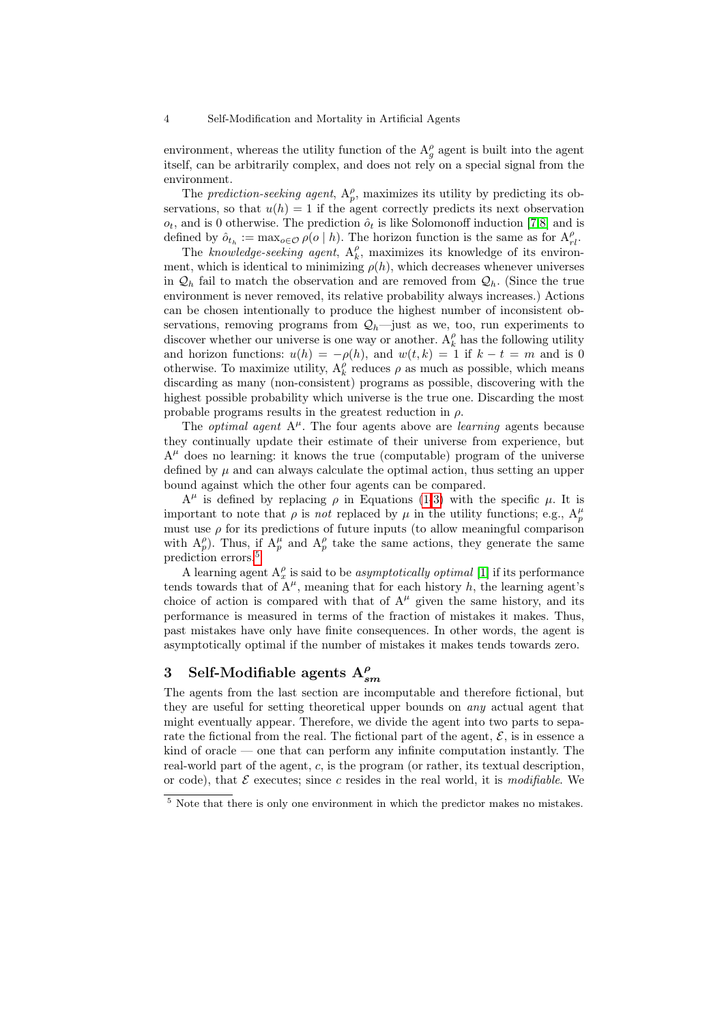environment, whereas the utility function of the  $A_g^{\rho}$  agent is built into the agent itself, can be arbitrarily complex, and does not rely on a special signal from the environment.

The *prediction-seeking agent*,  $A_p^{\rho}$ , maximizes its utility by predicting its observations, so that  $u(h) = 1$  if the agent correctly predicts its next observation  $o_t$ , and is 0 otherwise. The prediction  $\hat{o}_t$  is like Solomonoff induction [\[7,](#page-9-2)[8\]](#page-9-3) and is defined by  $\hat{o}_{t_h} := \max_{o \in \mathcal{O}} \rho(o \mid h)$ . The horizon function is the same as for  $A_{r_l}^{\rho}$ .

The knowledge-seeking agent,  $A_k^{\rho}$ , maximizes its knowledge of its environment, which is identical to minimizing  $\rho(h)$ , which decreases whenever universes in  $\mathcal{Q}_h$  fail to match the observation and are removed from  $\mathcal{Q}_h$ . (Since the true environment is never removed, its relative probability always increases.) Actions can be chosen intentionally to produce the highest number of inconsistent observations, removing programs from  $\mathcal{Q}_h$ —just as we, too, run experiments to discover whether our universe is one way or another.  $A_k^{\rho}$  has the following utility and horizon functions:  $u(h) = -\rho(h)$ , and  $w(t, k) = 1$  if  $k - t = m$  and is 0 otherwise. To maximize utility,  $A_k^{\rho}$  reduces  $\rho$  as much as possible, which means discarding as many (non-consistent) programs as possible, discovering with the highest possible probability which universe is the true one. Discarding the most probable programs results in the greatest reduction in  $\rho$ .

The *optimal agent*  $A^{\mu}$ . The four agents above are *learning* agents because they continually update their estimate of their universe from experience, but  $A^{\mu}$  does no learning: it knows the true (computable) program of the universe defined by  $\mu$  and can always calculate the optimal action, thus setting an upper bound against which the other four agents can be compared.

 $A^{\mu}$  is defined by replacing  $\rho$  in Equations [\(1](#page-2-1)[-3\)](#page-2-2) with the specific  $\mu$ . It is important to note that  $\rho$  is not replaced by  $\mu$  in the utility functions; e.g.,  $A_p^{\mu}$ must use  $\rho$  for its predictions of future inputs (to allow meaningful comparison with  $A_p^{\rho}$ ). Thus, if  $A_p^{\mu}$  and  $A_p^{\rho}$  take the same actions, they generate the same prediction errors.[5](#page-3-0)

A learning agent  $A_x^{\rho}$  is said to be *asymptotically optimal* [\[1\]](#page-9-0) if its performance tends towards that of  $A^{\mu}$ , meaning that for each history h, the learning agent's choice of action is compared with that of  $A^{\mu}$  given the same history, and its performance is measured in terms of the fraction of mistakes it makes. Thus, past mistakes have only have finite consequences. In other words, the agent is asymptotically optimal if the number of mistakes it makes tends towards zero.

# 3 Self-Modifiable agents  $A_{sm}^{\rho}$

The agents from the last section are incomputable and therefore fictional, but they are useful for setting theoretical upper bounds on any actual agent that might eventually appear. Therefore, we divide the agent into two parts to separate the fictional from the real. The fictional part of the agent,  $\mathcal{E}$ , is in essence a kind of oracle — one that can perform any infinite computation instantly. The real-world part of the agent, c, is the program (or rather, its textual description, or code), that  $\mathcal E$  executes; since c resides in the real world, it is modifiable. We

<span id="page-3-0"></span> $^5$  Note that there is only one environment in which the predictor makes no mistakes.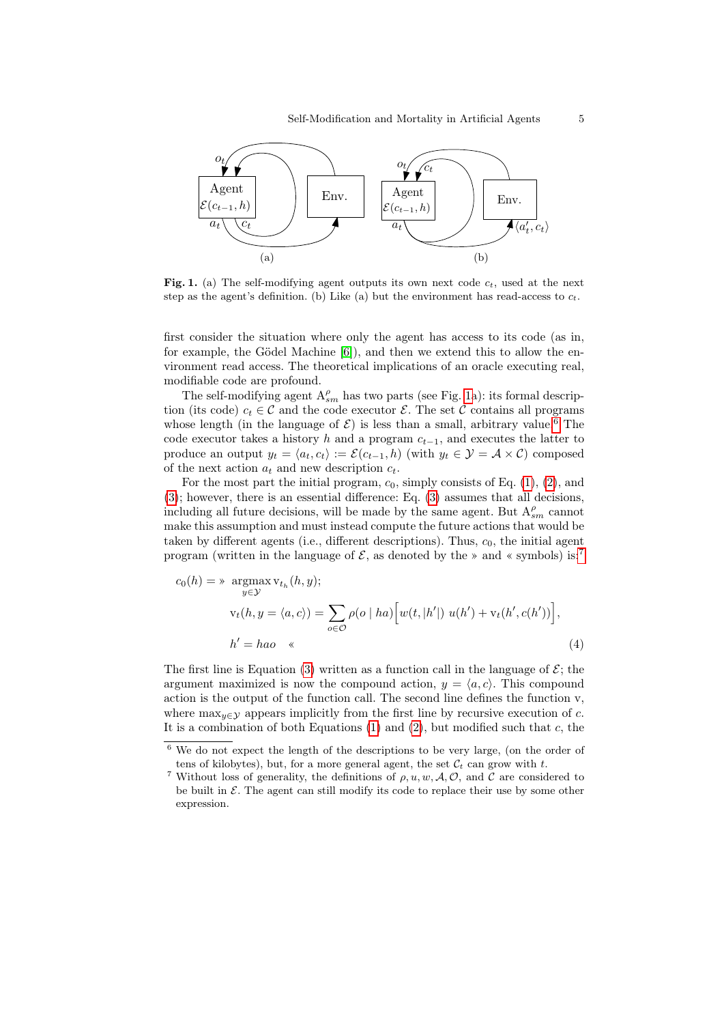

<span id="page-4-0"></span>Fig. 1. (a) The self-modifying agent outputs its own next code  $c_t$ , used at the next step as the agent's definition. (b) Like (a) but the environment has read-access to  $c_t$ .

first consider the situation where only the agent has access to its code (as in, for example, the Gödel Machine [\[6\]](#page-9-1)), and then we extend this to allow the environment read access. The theoretical implications of an oracle executing real, modifiable code are profound.

The self-modifying agent  $A_{sm}^{\rho}$  has two parts (see Fig. [1a](#page-4-0)): its formal description (its code)  $c_t \in \mathcal{C}$  and the code executor  $\mathcal{E}$ . The set  $\mathcal{C}$  contains all programs whose length (in the language of  $\mathcal{E}$ ) is less than a small, arbitrary value.<sup>[6](#page-4-1)</sup> The code executor takes a history h and a program  $c_{t-1}$ , and executes the latter to produce an output  $y_t = \langle a_t, c_t \rangle := \mathcal{E}(c_{t-1}, h)$  (with  $y_t \in \mathcal{Y} = \mathcal{A} \times \mathcal{C}$ ) composed of the next action  $a_t$  and new description  $c_t$ .

For the most part the initial program,  $c_0$ , simply consists of Eq.  $(1)$ ,  $(2)$ , and [\(3\)](#page-2-2); however, there is an essential difference: Eq. [\(3\)](#page-2-2) assumes that all decisions, including all future decisions, will be made by the same agent. But  $\mathbf{A}^\rho_{sm}$  cannot make this assumption and must instead compute the future actions that would be taken by different agents (i.e., different descriptions). Thus,  $c<sub>0</sub>$ , the initial agent program (written in the language of  $\mathcal{E}$ , as denoted by the » and « symbols) is:<sup>[7](#page-4-2)</sup>

<span id="page-4-3"></span>
$$
c_0(h) = \mathop{\rm argmax}_{y \in \mathcal{Y}} v_{t_h}(h, y);
$$
  

$$
v_t(h, y = \langle a, c \rangle) = \sum_{o \in \mathcal{O}} \rho(o \mid ha) \Big[ w(t, |h'|) \ u(h') + v_t(h', c(h')) \Big],
$$
  

$$
h' = hao \quad \ll \tag{4}
$$

The first line is Equation [\(3\)](#page-2-2) written as a function call in the language of  $\mathcal{E}$ ; the argument maximized is now the compound action,  $y = \langle a, c \rangle$ . This compound action is the output of the function call. The second line defines the function v, where  $\max_{y \in \mathcal{Y}}$  appears implicitly from the first line by recursive execution of c. It is a combination of both Equations  $(1)$  and  $(2)$ , but modified such that c, the

<span id="page-4-1"></span><sup>6</sup> We do not expect the length of the descriptions to be very large, (on the order of tens of kilobytes), but, for a more general agent, the set  $\mathcal{C}_t$  can grow with t.

<span id="page-4-2"></span><sup>&</sup>lt;sup>7</sup> Without loss of generality, the definitions of  $\rho, u, w, \mathcal{A}, \mathcal{O}$ , and  $\mathcal{C}$  are considered to be built in  $\mathcal E$ . The agent can still modify its code to replace their use by some other expression.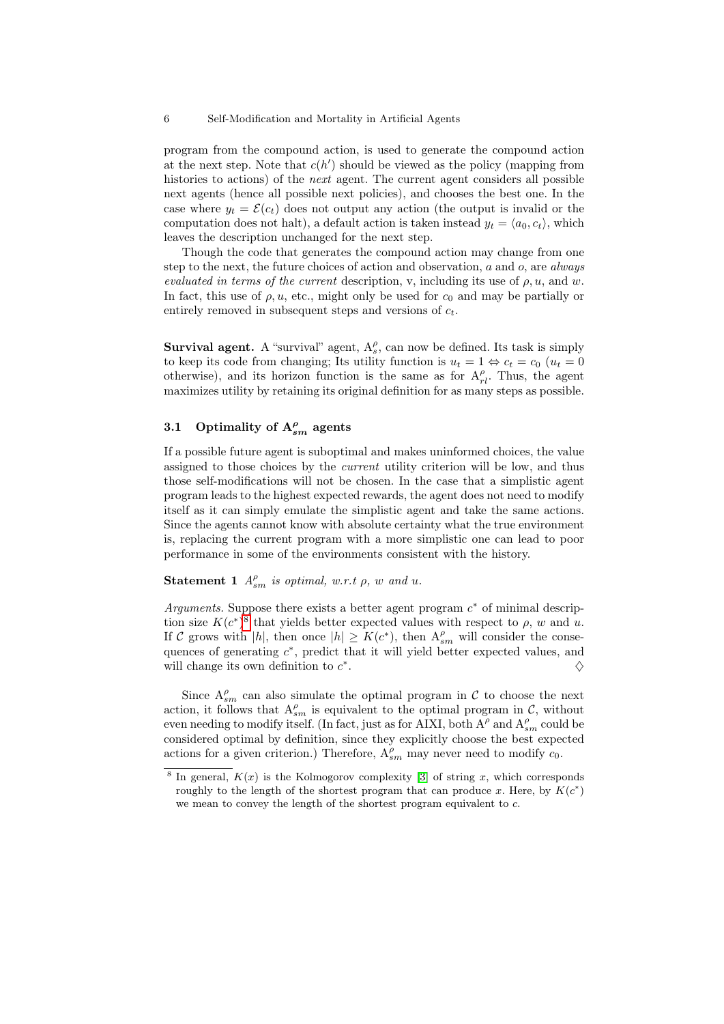program from the compound action, is used to generate the compound action at the next step. Note that  $c(h')$  should be viewed as the policy (mapping from histories to actions) of the *next* agent. The current agent considers all possible next agents (hence all possible next policies), and chooses the best one. In the case where  $y_t = \mathcal{E}(c_t)$  does not output any action (the output is invalid or the computation does not halt), a default action is taken instead  $y_t = \langle a_0, c_t \rangle$ , which leaves the description unchanged for the next step.

Though the code that generates the compound action may change from one step to the next, the future choices of action and observation,  $a$  and  $o$ , are *always* evaluated in terms of the current description, v, including its use of  $\rho, u$ , and w. In fact, this use of  $\rho, u$ , etc., might only be used for  $c_0$  and may be partially or entirely removed in subsequent steps and versions of  $c_t$ .

**Survival agent.** A "survival" agent,  $A_s^{\rho}$ , can now be defined. Its task is simply to keep its code from changing; Its utility function is  $u_t = 1 \Leftrightarrow c_t = c_0$  ( $u_t = 0$ ) otherwise), and its horizon function is the same as for  $A_{rl}^{\rho}$ . Thus, the agent maximizes utility by retaining its original definition for as many steps as possible.

# 3.1 Optimality of  $A_{sm}^{\rho}$  agents

If a possible future agent is suboptimal and makes uninformed choices, the value assigned to those choices by the current utility criterion will be low, and thus those self-modifications will not be chosen. In the case that a simplistic agent program leads to the highest expected rewards, the agent does not need to modify itself as it can simply emulate the simplistic agent and take the same actions. Since the agents cannot know with absolute certainty what the true environment is, replacing the current program with a more simplistic one can lead to poor performance in some of the environments consistent with the history.

## <span id="page-5-1"></span>**Statement 1**  $A_{sm}^{\rho}$  is optimal, w.r.t  $\rho$ , w and u.

Arguments. Suppose there exists a better agent program  $c^*$  of minimal description size  $K(c^*)^8$  $K(c^*)^8$  that yields better expected values with respect to  $\rho$ , w and u. If C grows with  $|h|$ , then once  $|h| \ge K(c^*)$ , then  $A_{sm}^{\rho}$  will consider the consequences of generating  $c^*$ , predict that it will yield better expected values, and will change its own definition to  $c^*$ .  $\Diamond$ 

Since  $A_{sm}^{\rho}$  can also simulate the optimal program in  $\mathcal C$  to choose the next action, it follows that  $A_{sm}^{\rho}$  is equivalent to the optimal program in C, without even needing to modify itself. (In fact, just as for AIXI, both  $A^{\rho}$  and  $A^{\rho}_{sm}$  could be considered optimal by definition, since they explicitly choose the best expected actions for a given criterion.) Therefore,  $A_{sm}^{\rho}$  may never need to modify  $c_0$ .

<span id="page-5-0"></span><sup>&</sup>lt;sup>8</sup> In general,  $K(x)$  is the Kolmogorov complexity [\[3\]](#page-9-4) of string x, which corresponds roughly to the length of the shortest program that can produce x. Here, by  $K(c^*)$ we mean to convey the length of the shortest program equivalent to  $c$ .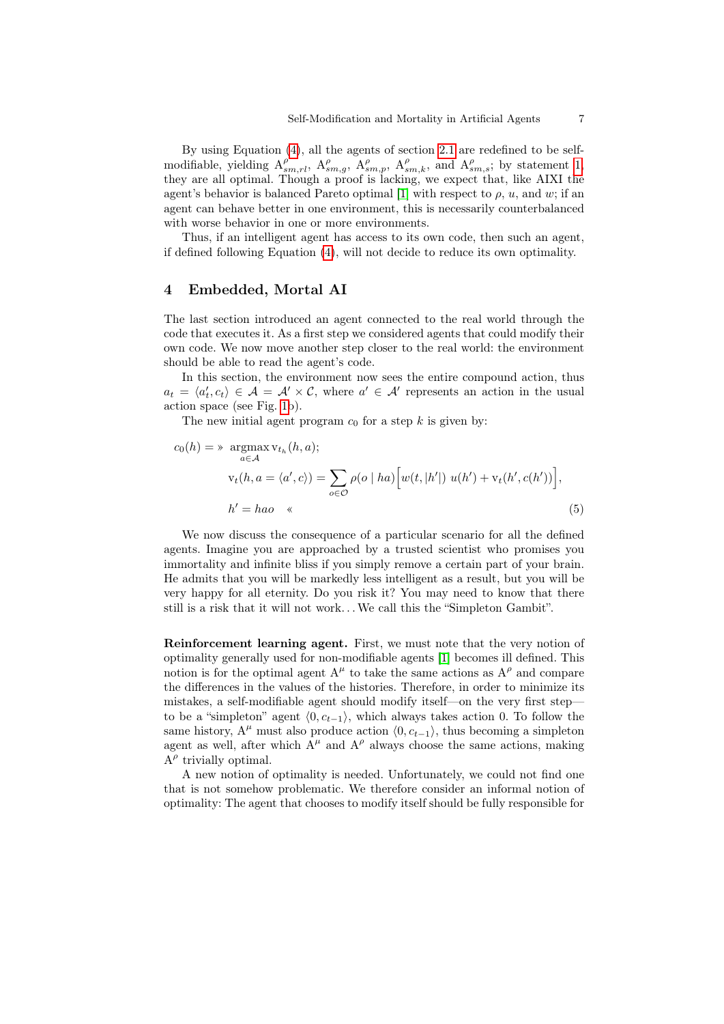By using Equation [\(4\)](#page-4-3), all the agents of section [2.1](#page-2-4) are redefined to be selfmodifiable, yielding  $A_{sm,rl}^{\rho}$ ,  $A_{sm,g}^{\rho}$ ,  $A_{sm,p}^{\rho}$ ,  $A_{sm,k}^{\rho}$ , and  $A_{sm,s}^{\rho}$ ; by statement [1,](#page-5-1) they are all optimal. Though a proof is lacking, we expect that, like AIXI the agent's behavior is balanced Pareto optimal [\[1\]](#page-9-0) with respect to  $\rho$ ,  $u$ , and  $w$ ; if an agent can behave better in one environment, this is necessarily counterbalanced with worse behavior in one or more environments.

Thus, if an intelligent agent has access to its own code, then such an agent, if defined following Equation [\(4\)](#page-4-3), will not decide to reduce its own optimality.

## 4 Embedded, Mortal AI

The last section introduced an agent connected to the real world through the code that executes it. As a first step we considered agents that could modify their own code. We now move another step closer to the real world: the environment should be able to read the agent's code.

In this section, the environment now sees the entire compound action, thus  $a_t = \langle a'_t, c_t \rangle \in \mathcal{A} = \mathcal{A}' \times \mathcal{C}$ , where  $a' \in \mathcal{A}'$  represents an action in the usual action space (see Fig. [1b](#page-4-0)).

The new initial agent program  $c_0$  for a step k is given by:

$$
c_0(h) = \mathcal{F} \underset{a \in \mathcal{A}}{\operatorname{argmax}} \, \mathbf{v}_{t_h}(h, a);
$$
\n
$$
\mathbf{v}_t(h, a = \langle a', c \rangle) = \sum_{o \in \mathcal{O}} \rho(o \mid ha) \Big[ w(t, |h'|) \ u(h') + \mathbf{v}_t(h', c(h')) \Big],
$$
\n
$$
h' = hao \quad \ll \tag{5}
$$

We now discuss the consequence of a particular scenario for all the defined agents. Imagine you are approached by a trusted scientist who promises you immortality and infinite bliss if you simply remove a certain part of your brain. He admits that you will be markedly less intelligent as a result, but you will be very happy for all eternity. Do you risk it? You may need to know that there still is a risk that it will not work. . .We call this the "Simpleton Gambit".

Reinforcement learning agent. First, we must note that the very notion of optimality generally used for non-modifiable agents [\[1\]](#page-9-0) becomes ill defined. This notion is for the optimal agent  $A^{\mu}$  to take the same actions as  $A^{\rho}$  and compare the differences in the values of the histories. Therefore, in order to minimize its mistakes, a self-modifiable agent should modify itself—on the very first step to be a "simpleton" agent  $\langle 0, c_{t-1} \rangle$ , which always takes action 0. To follow the same history, A<sup>µ</sup> must also produce action  $\langle 0, c_{t-1} \rangle$ , thus becoming a simpleton agent as well, after which  $A^{\mu}$  and  $A^{\rho}$  always choose the same actions, making  $A^{\rho}$  trivially optimal.

A new notion of optimality is needed. Unfortunately, we could not find one that is not somehow problematic. We therefore consider an informal notion of optimality: The agent that chooses to modify itself should be fully responsible for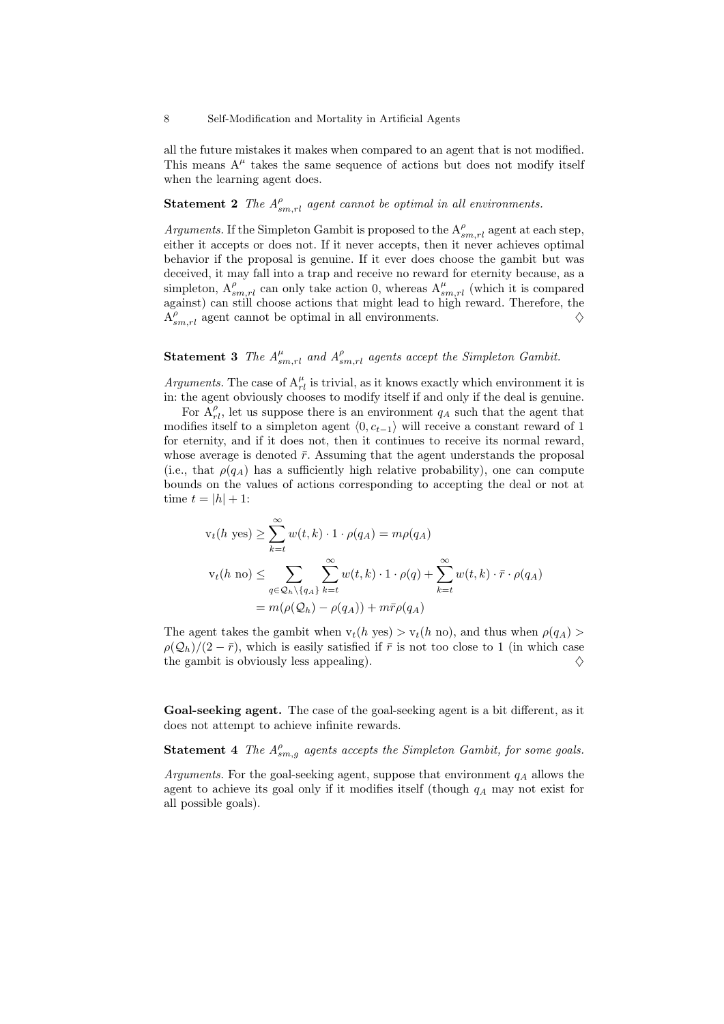#### 8 Self-Modification and Mortality in Artificial Agents

all the future mistakes it makes when compared to an agent that is not modified. This means  $A^{\mu}$  takes the same sequence of actions but does not modify itself when the learning agent does.

# **Statement 2** The  $A_{sm,rl}^{\rho}$  agent cannot be optimal in all environments.

Arguments. If the Simpleton Gambit is proposed to the  $A_{sm,rl}^{\rho}$  agent at each step, either it accepts or does not. If it never accepts, then it never achieves optimal behavior if the proposal is genuine. If it ever does choose the gambit but was deceived, it may fall into a trap and receive no reward for eternity because, as a simpleton,  $A_{sm,rl}^{\rho}$  can only take action 0, whereas  $A_{sm,rl}^{\mu}$  (which it is compared against) can still choose actions that might lead to high reward. Therefore, the  $A_{sm,rl}^{\rho}$  agent cannot be optimal in all environments.  $\diamondsuit$ 

# **Statement 3** The  $A_{sm,rl}^{\mu}$  and  $A_{sm,rl}^{\rho}$  agents accept the Simpleton Gambit.

Arguments. The case of  $A_{rl}^{\mu}$  is trivial, as it knows exactly which environment it is in: the agent obviously chooses to modify itself if and only if the deal is genuine.

For  $A_{rl}^{\rho}$ , let us suppose there is an environment  $q_A$  such that the agent that modifies itself to a simpleton agent  $\langle 0, c_{t-1} \rangle$  will receive a constant reward of 1 for eternity, and if it does not, then it continues to receive its normal reward, whose average is denoted  $\bar{r}$ . Assuming that the agent understands the proposal (i.e., that  $\rho(q_A)$ ) has a sufficiently high relative probability), one can compute bounds on the values of actions corresponding to accepting the deal or not at time  $t = |h| + 1$ :

$$
v_t(h \text{ yes}) \ge \sum_{k=t}^{\infty} w(t, k) \cdot 1 \cdot \rho(q_A) = m\rho(q_A)
$$
  

$$
v_t(h \text{ no}) \le \sum_{q \in \mathcal{Q}_h \setminus \{q_A\}} \sum_{k=t}^{\infty} w(t, k) \cdot 1 \cdot \rho(q) + \sum_{k=t}^{\infty} w(t, k) \cdot \bar{r} \cdot \rho(q_A)
$$
  

$$
= m(\rho(\mathcal{Q}_h) - \rho(q_A)) + m\bar{r}\rho(q_A)
$$

The agent takes the gambit when  $v_t(h \text{ yes}) > v_t(h \text{ no})$ , and thus when  $\rho(q_A) >$  $\rho(\mathcal{Q}_h)/(2 - \bar{r})$ , which is easily satisfied if  $\bar{r}$  is not too close to 1 (in which case the gambit is obviously less appealing). the gambit is obviously less appealing).

Goal-seeking agent. The case of the goal-seeking agent is a bit different, as it does not attempt to achieve infinite rewards.

**Statement 4** The  $A_{sm,g}^{\rho}$  agents accepts the Simpleton Gambit, for some goals.

Arguments. For the goal-seeking agent, suppose that environment  $q_A$  allows the agent to achieve its goal only if it modifies itself (though  $q_A$  may not exist for all possible goals).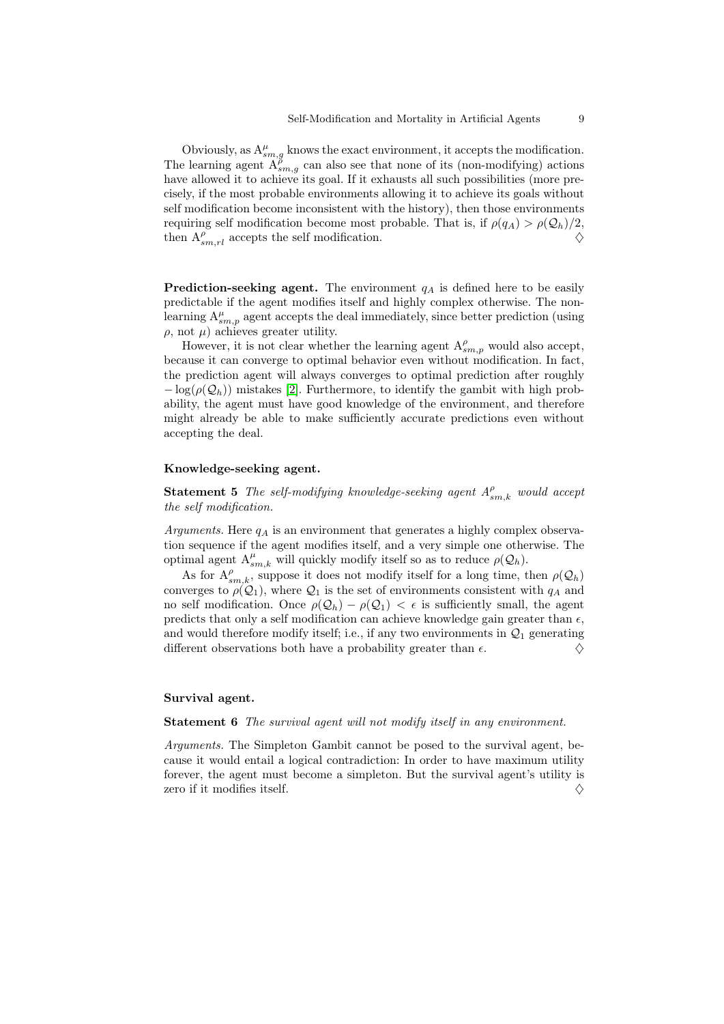Obviously, as  $A_{sm,g}^{\mu}$  knows the exact environment, it accepts the modification. The learning agent  $\mathbf{A}_{sm,g}^{\beta}$  can also see that none of its (non-modifying) actions have allowed it to achieve its goal. If it exhausts all such possibilities (more precisely, if the most probable environments allowing it to achieve its goals without self modification become inconsistent with the history), then those environments requiring self modification become most probable. That is, if  $\rho(q_A) > \rho(\mathcal{Q}_h)/2$ , then  $A_{\text{em}^{-}n}^{\rho}$  accepts the self modification. then  $A_{sm,rl}^{\rho}$  accepts the self modification.

**Prediction-seeking agent.** The environment  $q_A$  is defined here to be easily predictable if the agent modifies itself and highly complex otherwise. The nonlearning  $A_{sm,p}^{\mu}$  agent accepts the deal immediately, since better prediction (using  $\rho$ , not  $\mu$ ) achieves greater utility.

However, it is not clear whether the learning agent  $A_{sm,p}^{\rho}$  would also accept, because it can converge to optimal behavior even without modification. In fact, the prediction agent will always converges to optimal prediction after roughly  $-\log(\rho(Q_h))$  mistakes [\[2\]](#page-9-5). Furthermore, to identify the gambit with high probability, the agent must have good knowledge of the environment, and therefore might already be able to make sufficiently accurate predictions even without accepting the deal.

#### Knowledge-seeking agent.

**Statement 5** The self-modifying knowledge-seeking agent  $A_{sm,k}^{\rho}$  would accept the self modification.

Arguments. Here  $q_A$  is an environment that generates a highly complex observation sequence if the agent modifies itself, and a very simple one otherwise. The optimal agent  $A_{sm,k}^{\mu}$  will quickly modify itself so as to reduce  $\rho(Q_h)$ .

As for  $A_{sm,k}^{\rho}$ , suppose it does not modify itself for a long time, then  $\rho(\mathcal{Q}_h)$ converges to  $\rho(Q_1)$ , where  $Q_1$  is the set of environments consistent with  $q_A$  and no self modification. Once  $\rho(\mathcal{Q}_h) - \rho(\mathcal{Q}_1) < \epsilon$  is sufficiently small, the agent predicts that only a self modification can achieve knowledge gain greater than  $\epsilon$ , and would therefore modify itself; i.e., if any two environments in  $Q_1$  generating different observations both have a probability greater than  $\epsilon$ . different observations both have a probability greater than  $\epsilon$ .

### Survival agent.

#### Statement 6 The survival agent will not modify itself in any environment.

Arguments. The Simpleton Gambit cannot be posed to the survival agent, because it would entail a logical contradiction: In order to have maximum utility forever, the agent must become a simpleton. But the survival agent's utility is zero if it modifies itself.  $\Diamond$